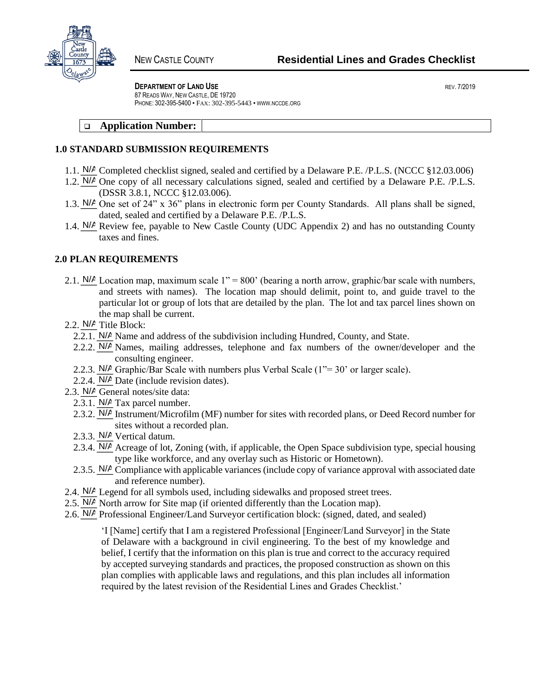

**DEPARTMENT OF LAND USE** *DEPARTMENT OF LAND USE* 

87 READS WAY, NEW CASTLE, DE 19720 PHONE: 302-395-5400 • FAX: 302-395-5443 • WWW.NCCDE.ORG

# ❑ **Application Number:**

# **1.0 STANDARD SUBMISSION REQUIREMENTS**

- 1.1.  $N/A$  Completed checklist signed, sealed and certified by a Delaware P.E. /P.L.S. (NCCC §12.03.006)
- 1.2.  $N/A$  One copy of all necessary calculations signed, sealed and certified by a Delaware P.E. /P.L.S. (DSSR 3.8.1, NCCC §12.03.006).
- 1.3.  $N/A$  One set of 24" x 36" plans in electronic form per County Standards. All plans shall be signed, dated, sealed and certified by a Delaware P.E. /P.L.S.
- 1.4.  $N/A$  Review fee, payable to New Castle County (UDC Appendix 2) and has no outstanding County taxes and fines.

### **2.0 PLAN REQUIREMENTS**

- 2.1.  $N/A$  Location map, maximum scale 1" = 800' (bearing a north arrow, graphic/bar scale with numbers, and streets with names). The location map should delimit, point to, and guide travel to the particular lot or group of lots that are detailed by the plan. The lot and tax parcel lines shown on the map shall be current.
- 2.2. *N/A* Title Block:
	- 2.2.1. N/A Name and address of the subdivision including Hundred, County, and State.
	- 2.2.2.  $N/A$  Names, mailing addresses, telephone and fax numbers of the owner/developer and the consulting engineer.
	- 2.2.3. N/*A* Graphic/Bar Scale with numbers plus Verbal Scale (1"= 30' or larger scale).
	- 2.2.4. *N/A* Date (include revision dates).
- 2.3. *N/A* General notes/site data:
	- 2.3.1.  $N/A$  Tax parcel number.
	- 2.3.2. N/A Instrument/Microfilm (MF) number for sites with recorded plans, or Deed Record number for sites without a recorded plan.
	- 2.3.3. N/A Vertical datum.
	- 2.3.4. N/A Acreage of lot, Zoning (with, if applicable, the Open Space subdivision type, special housing type like workforce, and any overlay such as Historic or Hometown).
	- 2.3.5. N/A Compliance with applicable variances (include copy of variance approval with associated date and reference number).
- 2.4.  $N/A$  Legend for all symbols used, including sidewalks and proposed street trees.
- 2.5.  $N/A$  North arrow for Site map (if oriented differently than the Location map).
- 2.6. N/A Professional Engineer/Land Surveyor certification block: (signed, dated, and sealed)

'I [Name] certify that I am a registered Professional [Engineer/Land Surveyor] in the State of Delaware with a background in civil engineering. To the best of my knowledge and belief, I certify that the information on this plan is true and correct to the accuracy required by accepted surveying standards and practices, the proposed construction as shown on this plan complies with applicable laws and regulations, and this plan includes all information required by the latest revision of the Residential Lines and Grades Checklist.'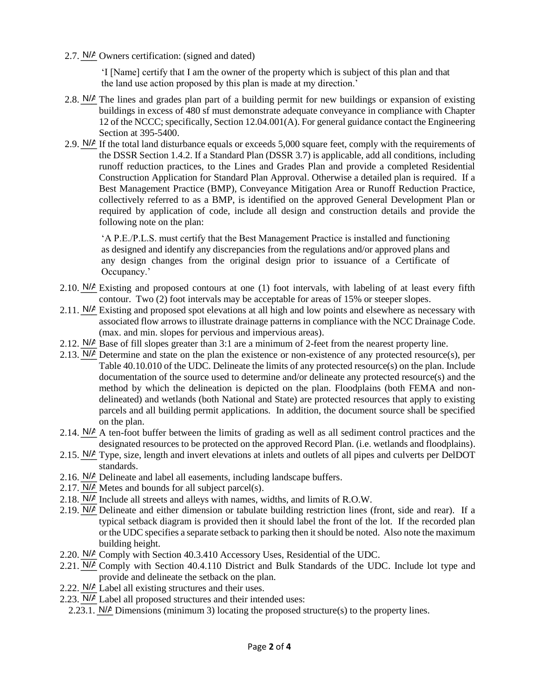2.7. N/A Owners certification: (signed and dated)

'I [Name] certify that I am the owner of the property which is subject of this plan and that the land use action proposed by this plan is made at my direction.'

- 2.8.  $N/A$  The lines and grades plan part of a building permit for new buildings or expansion of existing buildings in excess of 480 sf must demonstrate adequate conveyance in compliance with Chapter 12 of the NCCC; specifically, Section 12.04.001(A). For general guidance contact the Engineering Section at 395-5400.
- 2.9.  $N/A$  If the total land disturbance equals or exceeds 5,000 square feet, comply with the requirements of the DSSR Section 1.4.2. If a Standard Plan (DSSR 3.7) is applicable, add all conditions, including runoff reduction practices, to the Lines and Grades Plan and provide a completed Residential Construction Application for Standard Plan Approval. Otherwise a detailed plan is required. If a Best Management Practice (BMP), Conveyance Mitigation Area or Runoff Reduction Practice, collectively referred to as a BMP, is identified on the approved General Development Plan or required by application of code, include all design and construction details and provide the following note on the plan:

'A P.E./P.L.S. must certify that the Best Management Practice is installed and functioning as designed and identify any discrepancies from the regulations and/or approved plans and any design changes from the original design prior to issuance of a Certificate of Occupancy.'

- 2.10.  $N/A$  Existing and proposed contours at one (1) foot intervals, with labeling of at least every fifth contour. Two (2) foot intervals may be acceptable for areas of 15% or steeper slopes.
- 2.11. N/*A* Existing and proposed spot elevations at all high and low points and elsewhere as necessary with associated flow arrows to illustrate drainage patterns in compliance with the NCC Drainage Code. (max. and min. slopes for pervious and impervious areas).
- 2.12.  $N/A$  Base of fill slopes greater than 3:1 are a minimum of 2-feet from the nearest property line.
- 2.13.  $N/A$  Determine and state on the plan the existence or non-existence of any protected resource(s), per Table 40.10.010 of the UDC. Delineate the limits of any protected resource(s) on the plan. Include documentation of the source used to determine and/or delineate any protected resource(s) and the method by which the delineation is depicted on the plan. Floodplains (both FEMA and nondelineated) and wetlands (both National and State) are protected resources that apply to existing parcels and all building permit applications. In addition, the document source shall be specified on the plan.
- 2.14.  $N/A$  A ten-foot buffer between the limits of grading as well as all sediment control practices and the designated resources to be protected on the approved Record Plan. (i.e. wetlands and floodplains).
- 2.15. N/A Type, size, length and invert elevations at inlets and outlets of all pipes and culverts per DelDOT standards.
- 2.16. N/*A* Delineate and label all easements, including landscape buffers.
- 2.17.  $N/A$  Metes and bounds for all subject parcel(s).
- 2.18.  $N/A$  Include all streets and alleys with names, widths, and limits of R.O.W.
- 2.19.  $N/A$  Delineate and either dimension or tabulate building restriction lines (front, side and rear). If a typical setback diagram is provided then it should label the front of the lot. If the recorded plan or the UDC specifies a separate setback to parking then it should be noted. Also note the maximum building height.
- 2.20. N/*A* Comply with Section 40.3.410 Accessory Uses, Residential of the UDC.
- 2.21. N/*A* Comply with Section 40.4.110 District and Bulk Standards of the UDC. Include lot type and provide and delineate the setback on the plan.
- 2.22.  $N/A$  Label all existing structures and their uses.
- 2.23. N/A Label all proposed structures and their intended uses:
	- 2.23.1.  $N/A$  Dimensions (minimum 3) locating the proposed structure(s) to the property lines.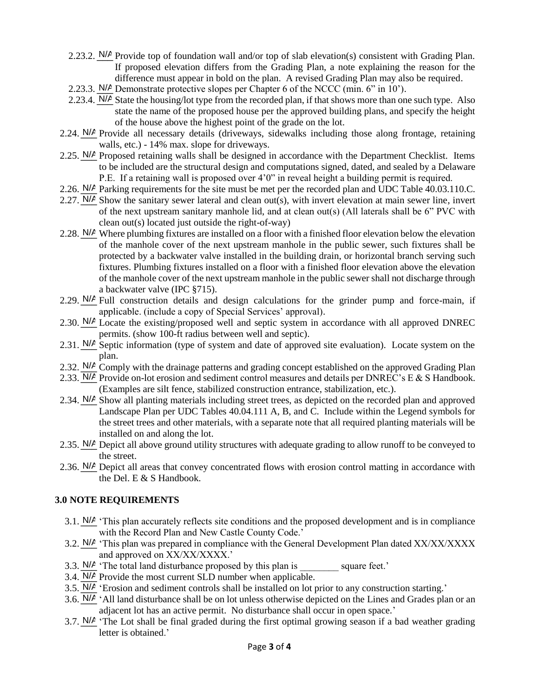- 2.23.2.  $N/A$  Provide top of foundation wall and/or top of slab elevation(s) consistent with Grading Plan. If proposed elevation differs from the Grading Plan, a note explaining the reason for the difference must appear in bold on the plan. A revised Grading Plan may also be required.
- 2.23.3.  $N/A$  Demonstrate protective slopes per Chapter 6 of the NCCC (min. 6" in 10").
- 2.23.4.  $N/A$  State the housing/lot type from the recorded plan, if that shows more than one such type. Also state the name of the proposed house per the approved building plans, and specify the height of the house above the highest point of the grade on the lot.
- 2.24. N/*A* Provide all necessary details (driveways, sidewalks including those along frontage, retaining walls, etc.) - 14% max. slope for driveways.
- 2.25. N/A Proposed retaining walls shall be designed in accordance with the Department Checklist. Items to be included are the structural design and computations signed, dated, and sealed by a Delaware P.E. If a retaining wall is proposed over 4'0" in reveal height a building permit is required.
- 2.26. N/A Parking requirements for the site must be met per the recorded plan and UDC Table 40.03.110.C.
- 2.27.  $N/A$  Show the sanitary sewer lateral and clean out(s), with invert elevation at main sewer line, invert of the next upstream sanitary manhole lid, and at clean out(s) (All laterals shall be 6" PVC with clean out(s) located just outside the right-of-way)
- 2.28. N/A Where plumbing fixtures are installed on a floor with a finished floor elevation below the elevation of the manhole cover of the next upstream manhole in the public sewer, such fixtures shall be protected by a backwater valve installed in the building drain, or horizontal branch serving such fixtures. Plumbing fixtures installed on a floor with a finished floor elevation above the elevation of the manhole cover of the next upstream manhole in the public sewer shall not discharge through a backwater valve (IPC §715).
- 2.29.  $N/A$  Full construction details and design calculations for the grinder pump and force-main, if applicable. (include a copy of Special Services' approval).
- 2.30.  $N/A$  Locate the existing/proposed well and septic system in accordance with all approved DNREC permits. (show 100-ft radius between well and septic).
- 2.31. N/*P* Septic information (type of system and date of approved site evaluation). Locate system on the plan.
- 2.32. N/A Comply with the drainage patterns and grading concept established on the approved Grading Plan
- 2.33. N/A Provide on-lot erosion and sediment control measures and details per DNREC's E & S Handbook. (Examples are silt fence, stabilized construction entrance, stabilization, etc.).
- 2.34. N/*P* Show all planting materials including street trees, as depicted on the recorded plan and approved Landscape Plan per UDC Tables 40.04.111 A, B, and C. Include within the Legend symbols for the street trees and other materials, with a separate note that all required planting materials will be installed on and along the lot.
- 2.35. N/A Depict all above ground utility structures with adequate grading to allow runoff to be conveyed to the street.
- 2.36. N/A Depict all areas that convey concentrated flows with erosion control matting in accordance with the Del. E & S Handbook.

# **3.0 NOTE REQUIREMENTS**

- 3.1.  $N/A$  'This plan accurately reflects site conditions and the proposed development and is in compliance with the Record Plan and New Castle County Code.'
- 3.2.  $N/A$  'This plan was prepared in compliance with the General Development Plan dated XX/XX/XXXX and approved on XX/XX/XXXX.'
- 3.3.  $N/A$  'The total land disturbance proposed by this plan is \_\_\_\_\_\_\_\_\_ square feet.'
- 3.4.  $N/A$  Provide the most current SLD number when applicable.
- 3.5.  $N/A$  'Erosion and sediment controls shall be installed on lot prior to any construction starting.'
- 3.6.  $N/A$  'All land disturbance shall be on lot unless otherwise depicted on the Lines and Grades plan or an adjacent lot has an active permit. No disturbance shall occur in open space.'
- 3.7.  $N/A$  'The Lot shall be final graded during the first optimal growing season if a bad weather grading letter is obtained.'